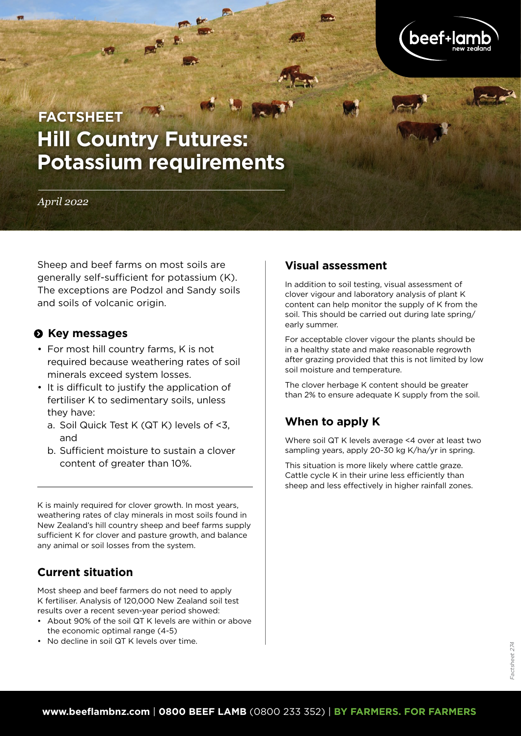

# **Hill Country Futures: Potassium requirements FACTSHEET**

*April 2022*

Sheep and beef farms on most soils are generally self-sufficient for potassium (K). The exceptions are Podzol and Sandy soils and soils of volcanic origin.

## $\Theta$  Key messages

- For most hill country farms, K is not required because weathering rates of soil minerals exceed system losses.
- It is difficult to justify the application of fertiliser K to sedimentary soils, unless they have:
	- a. Soil Quick Test K (QT K) levels of <3, and
	- b. Sufficient moisture to sustain a clover content of greater than 10%.

K is mainly required for clover growth. In most years, weathering rates of clay minerals in most soils found in New Zealand's hill country sheep and beef farms supply sufficient K for clover and pasture growth, and balance any animal or soil losses from the system.

# **Current situation**

Most sheep and beef farmers do not need to apply K fertiliser. Analysis of 120,000 New Zealand soil test results over a recent seven-year period showed:

- About 90% of the soil QT K levels are within or above the economic optimal range (4-5)
- No decline in soil QT K levels over time.

## **Visual assessment**

In addition to soil testing, visual assessment of clover vigour and laboratory analysis of plant K content can help monitor the supply of K from the soil. This should be carried out during late spring/ early summer.

For acceptable clover vigour the plants should be in a healthy state and make reasonable regrowth after grazing provided that this is not limited by low soil moisture and temperature.

The clover herbage K content should be greater than 2% to ensure adequate K supply from the soil.

# **When to apply K**

Where soil QT K levels average <4 over at least two sampling years, apply 20-30 kg K/ha/yr in spring.

This situation is more likely where cattle graze. Cattle cycle K in their urine less efficiently than sheep and less effectively in higher rainfall zones.